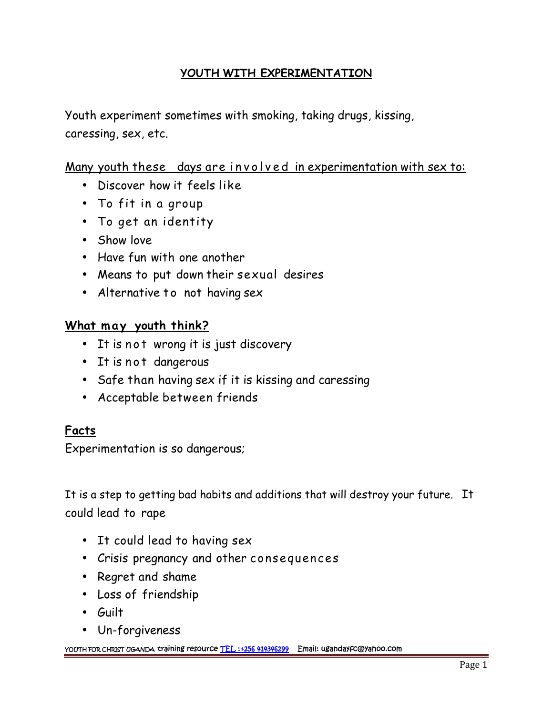# **YOUTH WITH EXPERIMENTATION**

Youth experiment sometimes with smoking, taking drugs, kissing, caressing, sex, etc.

# Many youth these days are involved in experimentation with sex to:

- Discover how it feels like
- To fit in a group
- To get an identity
- Show love
- Have fun with one another
- Means to put down their sexual desires • Have fun with one another<br>• Means to put down their sex<br>• Alternative to not having se:<br><u>What may youth think?</u><br>• It is not wrong it is just dise
	- Alternative to not having sex

- Means to put down their sexual desires<br>• Alternative to not having sex<br><u>nat may youth think?</u><br>• It is not wrong it is just discovery<br>• It is not dangerous
- 
- Alternative to not having skarternative to not having skarternative to internative and the Titis not dangerous<br>• It is not dangerous<br>• Safe than having sex if it is • Safe than having sex if it is kissing and caressing
- Acceptable between friends

### **Facts**

Experimentation is so dangerous;

It is a step to getting bad habits and additions that will destroy your future. It could lead to rape

- It could lead to having sex
- Crisis pregnancy and other consequences
- Regret and shame
- Loss of friendship
- Guilt
- Un-forgiveness

**YOUTH FOR CHRIST UGANDA training resource TEL :+256 414346299 Email: ugandayfc@yahoo.com**